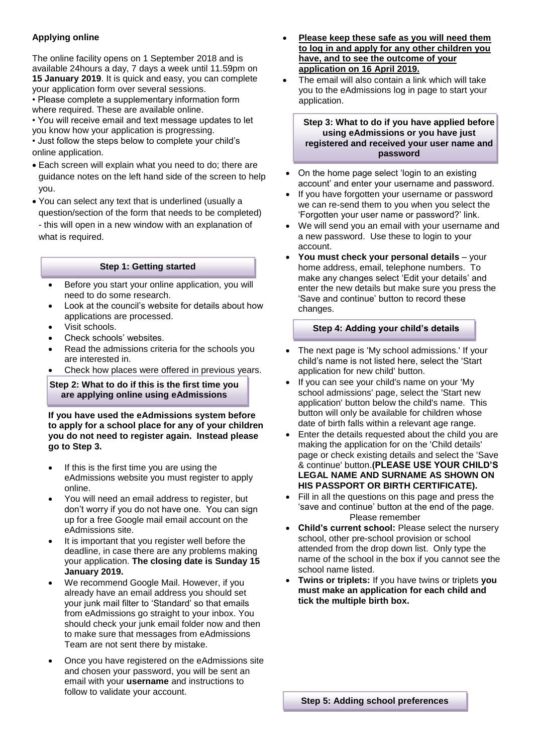# **Applying online**

The online facility opens on 1 September 2018 and is available 24hours a day, 7 days a week until 11.59pm on **15 January 2019**. It is quick and easy, you can complete your application form over several sessions.

• Please complete a supplementary information form where required. These are available online.

• You will receive email and text message updates to let you know how your application is progressing.

• Just follow the steps below to complete your child's online application.

- Each screen will explain what you need to do; there are guidance notes on the left hand side of the screen to help you.
- You can select any text that is underlined (usually a question/section of the form that needs to be completed)

- this will open in a new window with an explanation of what is required.

## **Step 1: Getting started**

- Before you start your online application, you will need to do some research.
- Look at the council's website for details about how applications are processed.
- Visit schools.
- Check schools' websites.
- Read the admissions criteria for the schools you are interested in.
- Check how places were offered in previous years.

**Step 2: What to do if this is the first time you are applying online using eAdmissions**

**If you have used the eAdmissions system before to apply for a school place for any of your children you do not need to register again. Instead please go to Step 3.**

- If this is the first time you are using the eAdmissions website you must register to apply online.
- You will need an email address to register, but don't worry if you do not have one. You can sign up for a free Google mail email account on the eAdmissions site.
- It is important that you register well before the deadline, in case there are any problems making your application. **The closing date is Sunday 15 January 2019.**
- We recommend Google Mail. However, if you already have an email address you should set your junk mail filter to 'Standard' so that emails from eAdmissions go straight to your inbox. You should check your junk email folder now and then to make sure that messages from eAdmissions Team are not sent there by mistake.
- Once you have registered on the eAdmissions site and chosen your password, you will be sent an email with your **username** and instructions to follow to validate your account.
- **Please keep these safe as you will need them to log in and apply for any other children you have, and to see the outcome of your application on 16 April 2019.**
- The email will also contain a link which will take you to the eAdmissions log in page to start your application.

#### **Step 3: What to do if you have applied before using eAdmissions or you have just registered and received your user name and password**

- On the home page select 'login to an existing account' and enter your username and password.
- If you have forgotten your username or password we can re-send them to you when you select the 'Forgotten your user name or password?' link.
- We will send you an email with your username and a new password. Use these to login to your account.
- **You must check your personal details** your home address, email, telephone numbers. To make any changes select 'Edit your details' and enter the new details but make sure you press the 'Save and continue' button to record these changes.

## **Step 4: Adding your child's details**

- The next page is 'My school admissions.' If your child's name is not listed here, select the 'Start application for new child' button.
- If you can see your child's name on your 'My school admissions' page, select the 'Start new application' button below the child's name. This button will only be available for children whose date of birth falls within a relevant age range.
- Enter the details requested about the child you are making the application for on the 'Child details' page or check existing details and select the 'Save & continue' button.**(PLEASE USE YOUR CHILD'S LEGAL NAME AND SURNAME AS SHOWN ON HIS PASSPORT OR BIRTH CERTIFICATE).**
- Fill in all the questions on this page and press the 'save and continue' button at the end of the page. Please remember
- **Child's current school:** Please select the nursery school, other pre-school provision or school attended from the drop down list. Only type the name of the school in the box if you cannot see the school name listed.
- **Twins or triplets:** If you have twins or triplets **you must make an application for each child and tick the multiple birth box.**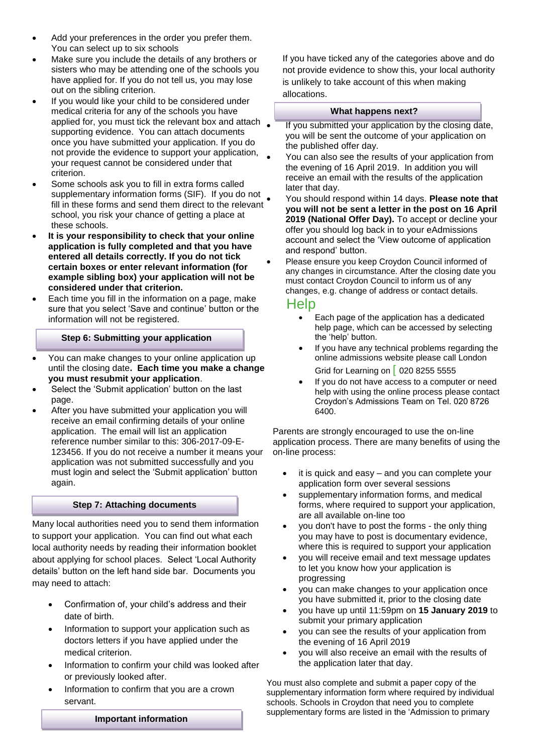- Add your preferences in the order you prefer them. You can select up to six schools
- Make sure you include the details of any brothers or sisters who may be attending one of the schools you have applied for. If you do not tell us, you may lose out on the sibling criterion.
- If you would like your child to be considered under medical criteria for any of the schools you have applied for, you must tick the relevant box and attach supporting evidence. You can attach documents once you have submitted your application. If you do not provide the evidence to support your application, your request cannot be considered under that criterion.
- Some schools ask you to fill in extra forms called supplementary information forms (SIF). If you do not fill in these forms and send them direct to the relevant school, you risk your chance of getting a place at these schools.
- **It is your responsibility to check that your online application is fully completed and that you have entered all details correctly. If you do not tick certain boxes or enter relevant information (for example sibling box) your application will not be considered under that criterion.**
- Each time you fill in the information on a page, make sure that you select 'Save and continue' button or the information will not be registered.

# **Step 6: Submitting your application**

- You can make changes to your online application up until the closing date**. Each time you make a change you must resubmit your application**.
- Select the 'Submit application' button on the last page.
- After you have submitted your application you will receive an email confirming details of your online application. The email will list an application reference number similar to this: 306-2017-09-E-123456. If you do not receive a number it means your application was not submitted successfully and you must login and select the 'Submit application' button again.

# **Step 7: Attaching documents**

Many local authorities need you to send them information to support your application. You can find out what each local authority needs by reading their information booklet about applying for school places. Select 'Local Authority details' button on the left hand side bar. Documents you may need to attach:

- Confirmation of, your child's address and their date of birth.
- Information to support your application such as doctors letters if you have applied under the medical criterion.
- Information to confirm your child was looked after or previously looked after.
- Information to confirm that you are a crown servant.

If you have ticked any of the categories above and do not provide evidence to show this, your local authority is unlikely to take account of this when making allocations.

#### **What happens next?**

- If you submitted your application by the closing date, you will be sent the outcome of your application on the published offer day.
- You can also see the results of your application from the evening of 16 April 2019. In addition you will receive an email with the results of the application later that day.
	- You should respond within 14 days. **Please note that you will not be sent a letter in the post on 16 April 2019 (National Offer Day).** To accept or decline your offer you should log back in to your eAdmissions account and select the 'View outcome of application and respond' button.
- Please ensure you keep Croydon Council informed of any changes in circumstance. After the closing date you must contact Croydon Council to inform us of any changes, e.g. change of address or contact details.

# Help

- Each page of the application has a dedicated help page, which can be accessed by selecting the 'help' button.
- If you have any technical problems regarding the online admissions website please call London Grid for Learning on | 020 8255 5555
- If you do not have access to a computer or need help with using the online process please contact Croydon's Admissions Team on Tel. 020 8726 6400.

Parents are strongly encouraged to use the on-line application process. There are many benefits of using the on-line process:

- it is quick and easy and you can complete your application form over several sessions
- supplementary information forms, and medical forms, where required to support your application, are all available on-line too
- you don't have to post the forms the only thing you may have to post is documentary evidence, where this is required to support your application
- you will receive email and text message updates to let you know how your application is progressing
- you can make changes to your application once you have submitted it, prior to the closing date
- you have up until 11:59pm on **15 January 2019** to submit your primary application
- you can see the results of your application from the evening of 16 April 2019
- you will also receive an email with the results of the application later that day.

You must also complete and submit a paper copy of the supplementary information form where required by individual schools. Schools in Croydon that need you to complete supplementary forms are listed in the 'Admission to primary